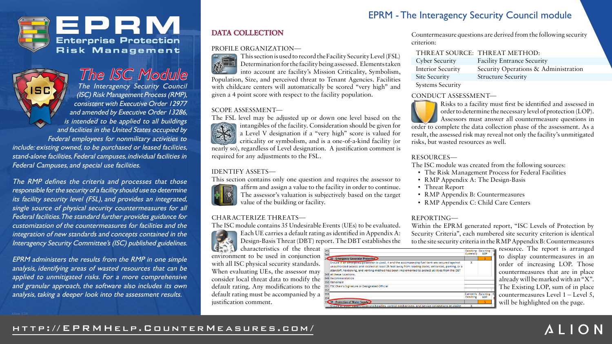## **DATA COLLECTION**

#### PROFILE ORGANIZATION—



This section is used to record the Facility Security Level (FSL) Determination for the facility being assessed. Elements taken into account are facility's Mission Criticality, Symbolism, Population, Size, and perceived threat to Tenant Agencies. Facilities with childcare centers will automatically be scored "very high" and given a 4 point score with respect to the facility population.

#### SCOPE ASSESSMENT—

intangibles of the facility. Consideration should be given for  $\mathbf{Q}_{\mathbf{z}}$ a Level V designation if a "very high" score is valued for criticality or symbolism, and is a one-of-a-kind facility (or



The FSL level may be adjusted up or down one level based on the nearly so), regardless of Level designation. A justification comment is required for any adjustments to the FSL.

characteristics of the threat environment to be used in conjunction with all ISC physical security standard. When evaluating UEs, the assessor may consider local threat data to modify the default rating. Any modifications to the default rating must be accompanied by justification comment.

### IDENTIFY ASSETS—

This section contains only one question and requires the assessor to affirm and assign a value to the facility in order to continue. The assessor's valuation is subjectively based on the target value of the building or facility.



CHARACTERIZE THREATS—



The ISC module contains 35 Undesirable Events (UEs) to be evaluated. Each UE carries a default rating as identified in Appendix A: Design-Basis Threat (DBT) report. The DBT establishes the

Countermeasure questions are derived from the following security criterion:

| <b>Cyber Security</b>    |
|--------------------------|
| <b>Interior Security</b> |
| <b>Site Security</b>     |
| $\sim$                   |

| THREAT SOURCE: THREAT METHOD: |
|-------------------------------|
|                               |



The ISC Module The Interagency Security Council SC (ISC) Risk Management Process (RMP), consistent with Executive Order 12977 and amended by Executive Order 13286, is intended to be applied to all buildings and facilities in the United States occupied by Federal employees for nonmilitary activities to include: existing owned, to be purchased or leased facilities, stand-alone facilities, Federal campuses, individual facilities in Federal Campuses, and special use facilities.

Systems Security

Facility Entrance Security Security Operations & Administration Structure Security

### CONDUCT ASSESSMENT—

Risks to a facility must first be identified and assessed in order to determine the necessary level of protection (LOP). Assessors must answer all countermeasure questions in order to complete the data collection phase of the assessment. As a result, the assessed risk may reveal not only the facility's unmitigated risks, but wasted resources as well.

### RESOURCES—

The ISC module was created from the following sources:

- The Risk Management Process for Federal Facilities
- RMP Appendix A: The Design-Basis
- Threat Report
- RMP Appendix B: Countermeasures
- RMP Appendix C: Child Care Centers

## REPORTING—

Within the EPRM generated report, "ISC Levels of Protection by Security Criteria", each numbered site security criterion is identical to the site security criteria in the RMP Appendix B: Countermeasures

| at            | 345<br>346                                                                                         | <b>Exisiting</b><br>Currently | Exisiting E<br>LOP | н |
|---------------|----------------------------------------------------------------------------------------------------|-------------------------------|--------------------|---|
| m             | <b>34 33 - Emergency Generator Protection</b>                                                      |                               | 5                  |   |
| $S_{\bullet}$ | Ensure if an emergency generator is used, it and the accompanying fuel tank are secured against    | x                             |                    |   |
|               | unauthorized access and located at least 25 feet away from loading docks, entrances, parking, or a |                               |                    |   |
|               | standoff, hardening, and venting method has been implemented to protect utilities from the DBT     |                               |                    |   |
| ıу            | 348 at these locations.                                                                            |                               |                    |   |
| ie            | 349 Recommendation                                                                                 |                               |                    |   |
|               | 350 Rationale                                                                                      |                               |                    |   |
| ie            | 351 FSC Chair's Signature or Designated Official                                                   |                               |                    |   |
|               | 352                                                                                                |                               |                    |   |
| a             | 353                                                                                                | Currently                     | <b>Exisiting</b>   | Ð |
|               | 354                                                                                                | <b>Exisiting</b>              | LOP                | F |
|               | <b>35 134 - Protection of Water Supply</b>                                                         |                               | 5                  |   |
|               | Ensure at water supply locations handles, control mechanisms, and service connections at onsite    |                               |                    |   |

resource. The report is arranged to display countermeasures in an order of increasing LOP. Those countermeasures that are in place already will be marked with an "X". The Existing LOP, sum of in place countermeasures Level 1 – Level 5, will be highlighted on the page.











The RMP defines the criteria and processes that those responsible for the security of a facility should use to determine its facility security level (FSL), and provides an integrated, single source of physical security countermeasures for all Federal facilities. The standard further provides guidance for customization of the countermeasures for facilities and the integration of new standards and concepts contained in the Interagency Security Committee's (ISC) published guidelines.

EPRM administers the results from the RMP in one simple analysis, identifying areas of wasted resources that can be applied to unmitigated risks. For a more comprehensive and granular approach, the software also includes its own analysis, taking a deeper look into the assessment results.

## EPRM - The Interagency Security Council module

Alion 3/20